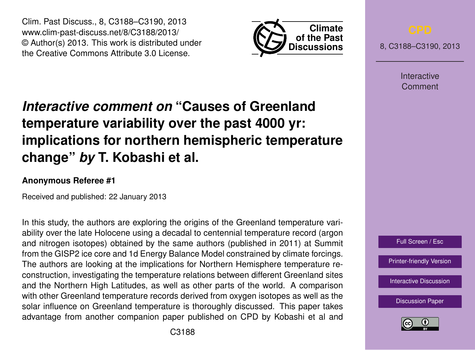Clim. Past Discuss., 8, C3188–C3190, 2013 www.clim-past-discuss.net/8/C3188/2013/ © Author(s) 2013. This work is distributed under the Creative Commons Attribute 3.0 License.



8, C3188–C3190, 2013

Interactive Comment

## *Interactive comment on* **"Causes of Greenland temperature variability over the past 4000 yr: implications for northern hemispheric temperature change"** *by* **T. Kobashi et al.**

## **Anonymous Referee #1**

Received and published: 22 January 2013

In this study, the authors are exploring the origins of the Greenland temperature variability over the late Holocene using a decadal to centennial temperature record (argon and nitrogen isotopes) obtained by the same authors (published in 2011) at Summit from the GISP2 ice core and 1d Energy Balance Model constrained by climate forcings. The authors are looking at the implications for Northern Hemisphere temperature reconstruction, investigating the temperature relations between different Greenland sites and the Northern High Latitudes, as well as other parts of the world. A comparison with other Greenland temperature records derived from oxygen isotopes as well as the solar influence on Greenland temperature is thoroughly discussed. This paper takes advantage from another companion paper published on CPD by Kobashi et al and



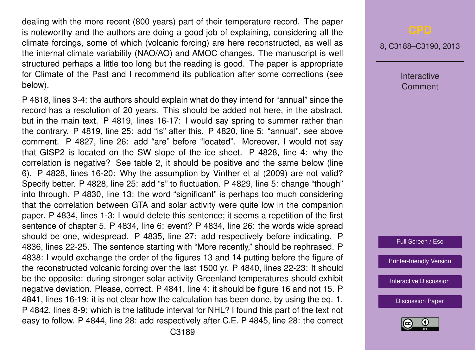dealing with the more recent (800 years) part of their temperature record. The paper is noteworthy and the authors are doing a good job of explaining, considering all the climate forcings, some of which (volcanic forcing) are here reconstructed, as well as the internal climate variability (NAO/AO) and AMOC changes. The manuscript is well structured perhaps a little too long but the reading is good. The paper is appropriate for Climate of the Past and I recommend its publication after some corrections (see below).

P 4818, lines 3-4: the authors should explain what do they intend for "annual" since the record has a resolution of 20 years. This should be added not here, in the abstract, but in the main text. P 4819, lines 16-17: I would say spring to summer rather than the contrary. P 4819, line 25: add "is" after this. P 4820, line 5: "annual", see above comment. P 4827, line 26: add "are" before "located". Moreover, I would not say that GISP2 is located on the SW slope of the ice sheet. P 4828, line 4: why the correlation is negative? See table 2, it should be positive and the same below (line 6). P 4828, lines 16-20: Why the assumption by Vinther et al (2009) are not valid? Specify better. P 4828, line 25: add "s" to fluctuation. P 4829, line 5: change "though" into through. P 4830, line 13: the word "significant" is perhaps too much considering that the correlation between GTA and solar activity were quite low in the companion paper. P 4834, lines 1-3: I would delete this sentence; it seems a repetition of the first sentence of chapter 5. P 4834, line 6: event? P 4834, line 26: the words wide spread should be one, widespread. P 4835, line 27: add respectively before indicating. P 4836, lines 22-25. The sentence starting with "More recently," should be rephrased. P 4838: I would exchange the order of the figures 13 and 14 putting before the figure of the reconstructed volcanic forcing over the last 1500 yr. P 4840, lines 22-23: It should be the opposite: during stronger solar activity Greenland temperatures should exhibit negative deviation. Please, correct. P 4841, line 4: it should be figure 16 and not 15. P 4841, lines 16-19: it is not clear how the calculation has been done, by using the eq. 1. P 4842, lines 8-9: which is the latitude interval for NHL? I found this part of the text not easy to follow. P 4844, line 28: add respectively after C.E. P 4845, line 28: the correct

8, C3188–C3190, 2013

**Interactive** Comment

Full Screen / Esc

[Printer-friendly Version](http://www.clim-past-discuss.net/8/C3188/2013/cpd-8-C3188-2013-print.pdf)

[Interactive Discussion](http://www.clim-past-discuss.net/8/4817/2012/cpd-8-4817-2012-discussion.html)

[Discussion Paper](http://www.clim-past-discuss.net/8/4817/2012/cpd-8-4817-2012.pdf)